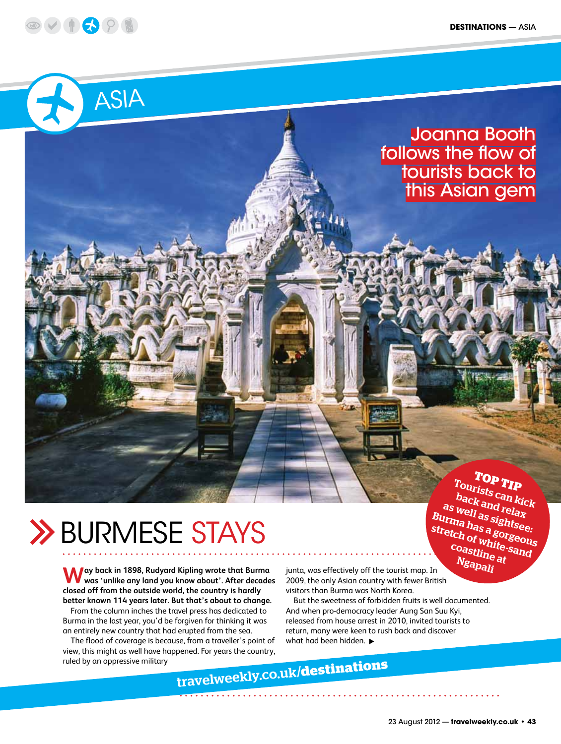



## Joanna Booth follows the flow of tourists back to this Asian gem

## **TOP TIP**

Tourists can kick back and relax as well as sightsee: Burma has a gorgeous stretch of white-sand coastline at Ngapali

# **>> BURMESE STAYS**

**Way back in 1898, Rudyard Kipling wrote that Burma was 'unlike any land you know about'. After decades closed off from the outside world, the country is hardly better known 114 years later. But that's about to change.**

From the column inches the travel press has dedicated to Burma in the last year, you'd be forgiven for thinking it was an entirely new country that had erupted from the sea.

The flood of coverage is because, from a traveller's point of view, this might as well have happened. For years the country, ruled by an oppressive military

junta, was effectively off the tourist map. In 2009, the only Asian country with fewer British visitors than Burma was North Korea.

But the sweetness of forbidden fruits is well documented. And when pro-democracy leader Aung San Suu Kyi, released from house arrest in 2010, invited tourists to return, many were keen to rush back and discover what had been hidden.

travelweekly.co.uk/**destinations**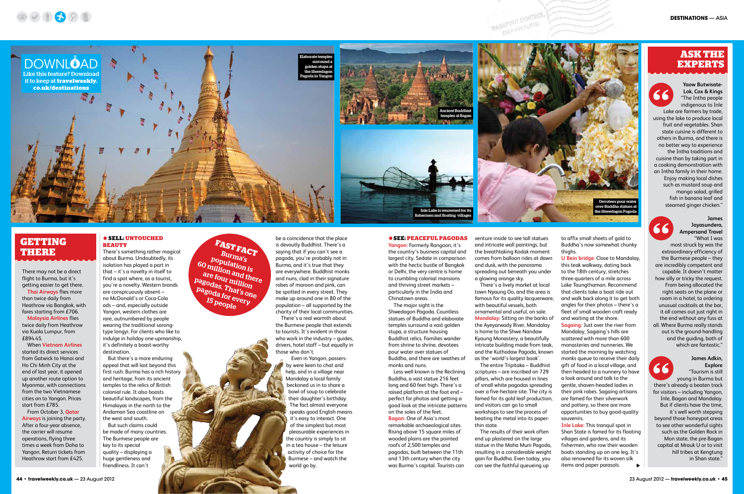• **SELL: UNTOUCHED** 

**BEAUTY**

There's something rather magical about Burma. Undoubtedly, its isolation has played a part in that – it's a novelty in itself to find a spot where, as a tourist, you're a novelty. Western brands are conspicuously absent – no McDonald's or Coca-Cola

#### ads – and, especially outside Yangon, western clothes are

rare, outnumbered by people wearing the traditional sarongtype longyi. For clients who like to indulge in holiday one-upmanship, it's definitely a boast-worthy destination.

But there's a more enduring appeal that will last beyond this first rush. Burma has a rich history and heritage, from its ancient temples to the relics of British colonial rule. It also boasts beautiful landscapes, from the Himalayas in the north to the Andaman Sea coastline on the west and south.

But such claims could be made of many countries. The Burmese people are key to its special quality – displaying a huge gentleness and friendliness. It can't

be a coincidence that the place is devoutly Buddhist. There's a saying that if you can't see a pagoda, you're probably not in Burma, and it's true that they are everywhere. Buddhist monks and nuns, clad in their signature robes of maroon and pink, can be spotted in every street. They make up around one in 80 of the population – all supported by the charity of their local communities.

There's a real warmth about the Burmese people that extends to tourists. It's evident in those who work in the industry – guides, drivers, hotel staff – but equally in those who don't.

> Even in Yangon, passersby were keen to chat and help, and in a village near Mandalay a local family beckoned us in to share a bowl of soup to celebrate their daughter's birthday. The fact almost everyone speaks good English means it's easy to interact. One of the simplest but most pleasurable experiences in the country is simply to sit in a tea house – the leisure activity of choice for the Burmese – and watch the world go by.

#### $\bullet$  **SEE: PEACEFUL PAGODAS**

**Yangon:** Formerly Rangoon, it's the country's business capital and largest city. Sedate in comparison with the hectic bustle of Bangkok or Delhi, the very centre is home to crumbling colonial mansions and thriving street markets – particularly in the India and Chinatown areas.

The major sight is the Shwedagon Pagoda. Countless statues of Buddha and elaborate temples surround a vast golden stupa, a structure housing Buddhist relics. Families wander from shrine to shrine, devotees pour water over statues of Buddha, and there are swathes of monks and nuns.

Less well known is the Reclining Buddha, a vast statue 216 feet long and 60 feet high. There's a raised platform at the foot end – perfect for photos and getting a good look at the intricate patterns on the soles of the feet. **Bagan:** One of Asia's most

remarkable archaeological sites. Rising above 15 square miles of wooded plains are the pointed roofs of 2,500 temples and pagodas, built between the 11th and 13th century when the city was Burma's capital. Tourists can venture inside to see tall statues and intricate wall paintings, but the breathtaking Kodak moment comes from balloon rides at dawn and dusk, with the panorama spreading out beneath you under a glowing orange sky.

**PASSPORT CONTROL** 

**SSPORT CUPPER** 

66 "Tourism is still young in Burma but there's already a beaten track for visitors – including Yangon, Inle, Bagan and Mandalay. But if clients have the time, it's well worth stepping beyond those honeypot areas to see other wonderful sights such as the Golden Rock in Mon state, the pre-Bagan capital at Mrauk U or to visit hill tribes at Kengtung in Shan state."

There's a lively market at local The entire Tripitaka – Buddhist

town Nyaung Oo, and the area is famous for its quality lacquerware, with beautiful vessels, both ornamental and useful, on sale. **Mandalay:** Sitting on the banks of the Ayeyarwady River, Mandalay is home to the Shwe Nandaw Kyaung Monastery, a beautifully intricate building made from teak, and the Kuthodaw Pagoda, known as the 'world's largest book'.

scriptures – are inscribed on 729 pillars, which are housed in lines of small white pagodas spreading over a five-hectare site. The city is famed for its gold leaf production, and visitors can go to small workshops to see the process of beating the metal into its paperthin state.

The results of their work often end up plastered on the large statue in the Maha Muni Pagoda, resulting in a considerable weight gain for Buddha. Even today, you can see the faithful queueing up

to affix small sheets of gold to Buddha's now somewhat chunky thighs.

**U Bein bridge**: Close to Mandalay, this teak walkway, dating back to the 18th century, stretches three-quarters of a mile across Lake Taungthaman. Recommend that clients take a boat ride out and walk back along it to get both angles for their photos – there's a fleet of small wooden craft ready and waiting at the shore. **Sagaing:** Just over the river from Mandalay, Sagaing's hills are scattered with more than 600 monasteries and nunneries. We started the morning by watching monks queue to receive their daily gift of food in a local village, and then headed to a nunnery to have a look around and talk to the gentle, shaven-headed ladies in their pink robes. Sagaing artisans are famed for their silverwork and pottery, so there are more opportunities to buy good-quality souvenirs.

**Inle Lake:** This tranquil spot in Shan State is famed for its floating villages and gardens, and its fishermen, who row their wooden boats standing up on one leg. It's also renowned for its woven silk items and paper parasols.

**FAST FACT** Burma's population is <sup>60</sup> million and there are four million pagodas. That's one pagoda for every 15 people

### **ASK THE EXPERTS**

## **GETTING THERE**

**Yaow Butwisate-Lok, Cox & Kings** "The Intha people indigenous to Inle Lake are farmers by trade, using the lake to produce local fruit and vegetables. Shan state cuisine is different to others in Burma, and there is no better way to experience the Intha traditions and cuisine than by taking part in a cooking demonstration with an Intha family in their home. Enjoy making local dishes such as mustard soup and mango salad, grilled fish in banana leaf and steamed ginger chicken."

#### **James Jayasundera, Ampersand Travel** "What I was

most struck by was the extraordinary efficiency of the Burmese people – they are incredibly competent and capable. It doesn't matter how silly or tricky the request. From being allocated the right seats on the plane or room in a hotel, to ordering unusual cocktails at the bar, it all comes out just right in the end without any fuss at all. Where Burma really stands out is the ground-handling and the guiding, both of which are fantastic."

#### **James Adkin, Explore**

There may not be a direct flight to Burma, but it's getting easier to get there.

**Thai Airways** flies more than twice daily from Heathrow via Bangkok, with fares starting from £706.

**Malaysia Airlines** flies twice daily from Heathrow via Kuala Lumpur, from £894.45.

When **Vietnam Airlines** started its direct services from Gatwick to Hanoi and Ho Chi Minh City at the end of last year, it opened up another route option to Myanmar, with connections from the two Vietnamese cities on to Yangon. Prices start from £785.

From October 3, **Qatar Airways** is joining the party. After a four-year absence, the carrier will resume operations, flying three times a week from Doha to Yangon. Return tickets from Heathrow start from £425.





![](_page_1_Picture_27.jpeg)